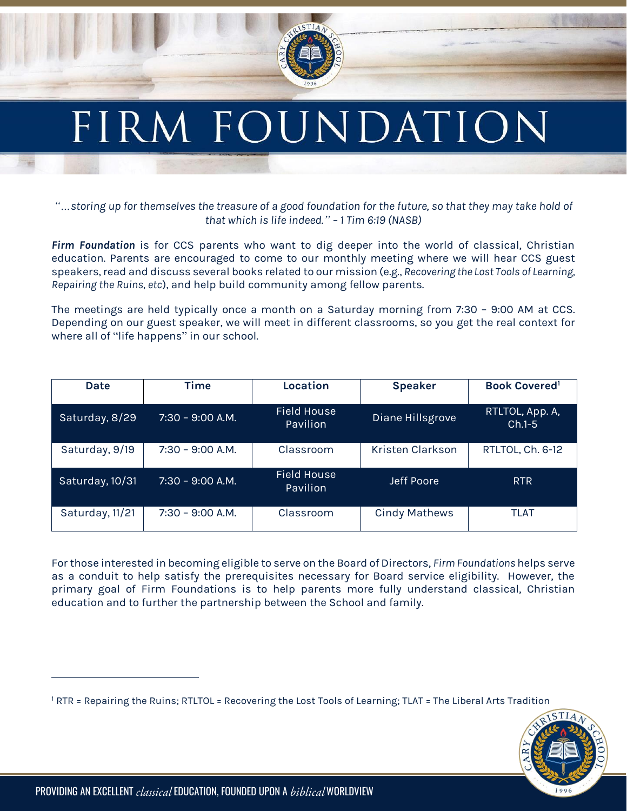

## FIRM FOUNDATION

*"…storing up for themselves the treasure of a good foundation for the future, so that they may take hold of that which is life indeed." – 1 Tim 6:19 (NASB)*

*Firm Foundation* is for CCS parents who want to dig deeper into the world of classical, Christian education. Parents are encouraged to come to our monthly meeting where we will hear CCS guest speakers, read and discuss several books related to our mission (e.g., *Recovering the Lost Tools of Learning, Repairing the Ruins, etc*), and help build community among fellow parents.

The meetings are held typically once a month on a Saturday morning from 7:30 – 9:00 AM at CCS. Depending on our guest speaker, we will meet in different classrooms, so you get the real context for where all of "life happens" in our school.

| Date            | <b>Time</b>        | Location                              | <b>Speaker</b>       | <b>Book Covered</b>         |
|-----------------|--------------------|---------------------------------------|----------------------|-----------------------------|
| Saturday, 8/29  | $7:30 - 9:00 A.M.$ | <b>Field House</b><br><b>Pavilion</b> | Diane Hillsgrove     | RTLTOL, App. A,<br>$Ch.1-5$ |
| Saturday, 9/19  | $7:30 - 9:00 A.M.$ | Classroom                             | Kristen Clarkson     | RTLTOL, Ch. 6-12            |
| Saturday, 10/31 | $7:30 - 9:00$ A.M. | <b>Field House</b><br><b>Pavilion</b> | Jeff Poore           | <b>RTR</b>                  |
| Saturday, 11/21 | $7:30 - 9:00 A.M.$ | Classroom                             | <b>Cindy Mathews</b> | <b>TLAT</b>                 |

For those interested in becoming eligible to serve on the Board of Directors, *Firm Foundations* helps serve as a conduit to help satisfy the prerequisites necessary for Board service eligibility. However, the primary goal of Firm Foundations is to help parents more fully understand classical, Christian education and to further the partnership between the School and family.

<sup>1</sup> RTR = Repairing the Ruins; RTLTOL = Recovering the Lost Tools of Learning; TLAT = The Liberal Arts Tradition